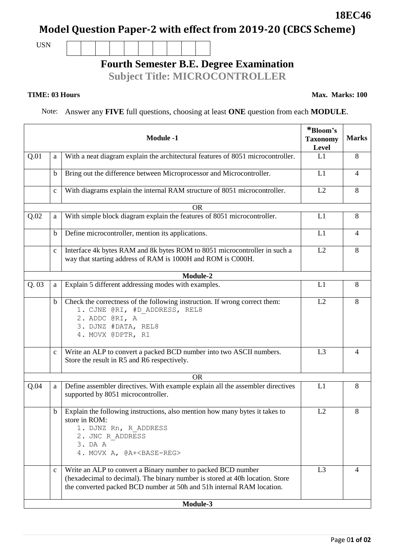Page 0**1 of 02**

# **Model Question Paper-2 with effect from 2019-20 (CBCS Scheme)**

USN

## **Fourth Semester B.E. Degree Examination**

**Subject Title: MICROCONTROLLER**

#### **TIME: 03 Hours**

Note: Answer any **FIVE** full questions, choosing at least **ONE** question from each **MODULE**.

| <b>Module -1</b> |              |                                                                                                                                                                                                                       | *Bloom's<br><b>Taxonomy</b><br>Level | <b>Marks</b>   |  |
|------------------|--------------|-----------------------------------------------------------------------------------------------------------------------------------------------------------------------------------------------------------------------|--------------------------------------|----------------|--|
| Q.01             | a            | With a neat diagram explain the architectural features of 8051 microcontroller.                                                                                                                                       | L1                                   | 8              |  |
|                  | b            | Bring out the difference between Microprocessor and Microcontroller.                                                                                                                                                  | L1                                   | $\overline{4}$ |  |
|                  | $\mathbf{C}$ | With diagrams explain the internal RAM structure of 8051 microcontroller.                                                                                                                                             | L2                                   | 8              |  |
|                  |              | <b>OR</b>                                                                                                                                                                                                             |                                      |                |  |
| Q.02             | a            | With simple block diagram explain the features of 8051 microcontroller.                                                                                                                                               | L1                                   | 8              |  |
|                  | b            | Define microcontroller, mention its applications.                                                                                                                                                                     | L1                                   | $\overline{4}$ |  |
|                  | $\mathbf{C}$ | Interface 4k bytes RAM and 8k bytes ROM to 8051 microcontroller in such a<br>way that starting address of RAM is 1000H and ROM is C000H.                                                                              | L2                                   | 8              |  |
|                  |              | Module-2                                                                                                                                                                                                              |                                      |                |  |
| Q.03             | a            | Explain 5 different addressing modes with examples.                                                                                                                                                                   | L1                                   | 8              |  |
|                  | $\mathbf b$  | Check the correctness of the following instruction. If wrong correct them:<br>1. CJNE @RI, #D ADDRESS, REL8<br>2. ADDC @RI, A<br>3. DJNZ #DATA, REL8<br>4. MOVX @DPTR, R1                                             | L2                                   | 8              |  |
|                  | $\mathbf{C}$ | Write an ALP to convert a packed BCD number into two ASCII numbers.<br>Store the result in R5 and R6 respectively.                                                                                                    | L <sub>3</sub>                       | $\overline{4}$ |  |
|                  |              | <b>OR</b>                                                                                                                                                                                                             |                                      |                |  |
| Q.04             | a            | Define assembler directives. With example explain all the assembler directives<br>supported by 8051 microcontroller.                                                                                                  | L1                                   | 8              |  |
|                  | $\mathbf b$  | Explain the following instructions, also mention how many bytes it takes to<br>store in ROM:<br>1. DJNZ Rn, R ADDRESS<br>2. JNC R ADDRESS<br>3. DA A<br>4. MOVX A, @A+ <base-reg></base-reg>                          | L2                                   | 8              |  |
|                  | $\mathbf{C}$ | Write an ALP to convert a Binary number to packed BCD number<br>(hexadecimal to decimal). The binary number is stored at 40h location. Store<br>the converted packed BCD number at 50h and 51h internal RAM location. | L <sub>3</sub>                       | 4              |  |
| Module-3         |              |                                                                                                                                                                                                                       |                                      |                |  |

**18EC46**

**Max. Marks: 100**